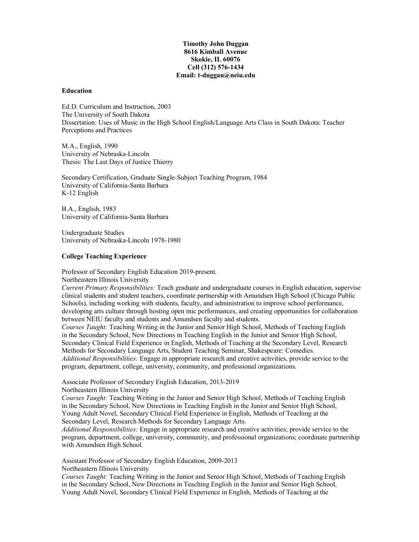# **Timothy John Duggan 8616 Kimball Avenue Skokie, IL 60076 Cell (312) 576-1434 Email: t-duggan@neiu.edu**

### **Education**

Ed.D. Curriculum and Instruction, 2003 The University of South Dakota Dissertation: Uses of Music in the High School English/Language Arts Class in South Dakota: Teacher Perceptions and Practices

M.A., English, 1990 University of Nebraska-Lincoln Thesis: The Last Days of Justice Thierry

Secondary Certification, Graduate Single-Subject Teaching Program, 1984 University of California-Santa Barbara K-12 English

B.A., English, 1983 University of California-Santa Barbara

Undergraduate Studies University of Nebraska-Lincoln 1978-1980

### **College Teaching Experience**

Professor of Secondary English Education 2019-present. Northeastern Illinois University

*Current Primary Responsibilities:* Teach graduate and undergraduate courses in English education, supervise clinical students and student teachers, coordinate partnership with Amundsen High School (Chicago Public Schools), including working with students, faculty, and administration to improve school performance, developing arts culture through hosting open mic performances, and creating opportunities for collaboration between NEIU faculty and students and Amundsen faculty and students.

*Courses Taught:* Teaching Writing in the Junior and Senior High School, Methods of Teaching English in the Secondary School, New Directions in Teaching English in the Junior and Senior High School, Secondary Clinical Field Experience in English, Methods of Teaching at the Secondary Level, Research Methods for Secondary Language Arts, Student Teaching Seminar, Shakespeare: Comedies. *Additional Responsibilities:* Engage in appropriate research and creative activities, provide service to the program, department, college, university, community, and professional organizations.

Associate Professor of Secondary English Education, 2013-2019 Northeastern Illinois University

*Courses Taught:* Teaching Writing in the Junior and Senior High School, Methods of Teaching English in the Secondary School, New Directions in Teaching English in the Junior and Senior High School, Young Adult Novel, Secondary Clinical Field Experience in English, Methods of Teaching at the Secondary Level, Research Methods for Secondary Language Arts.

*Additional Responsibilities:* Engage in appropriate research and creative activities; provide service to the program, department, college, university, community, and professional organizations; coordinate partnership with Amundsen High School.

Assistant Professor of Secondary English Education, 2009-2013 Northeastern Illinois University

*Courses Taught:* Teaching Writing in the Junior and Senior High School, Methods of Teaching English in the Secondary School, New Directions in Teaching English in the Junior and Senior High School, Young Adult Novel, Secondary Clinical Field Experience in English, Methods of Teaching at the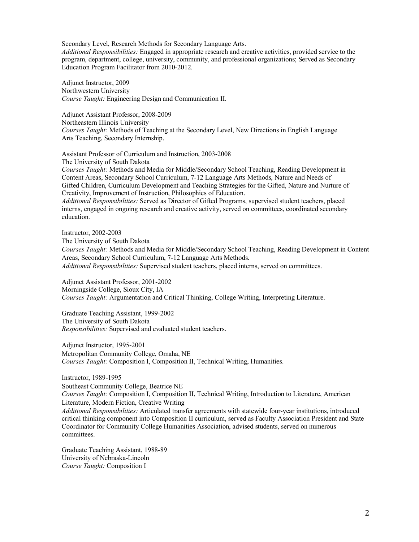Secondary Level, Research Methods for Secondary Language Arts.

*Additional Responsibilities:* Engaged in appropriate research and creative activities, provided service to the program, department, college, university, community, and professional organizations; Served as Secondary Education Program Facilitator from 2010-2012.

Adjunct Instructor, 2009 Northwestern University *Course Taught:* Engineering Design and Communication II.

Adjunct Assistant Professor, 2008-2009 Northeastern Illinois University *Courses Taught:* Methods of Teaching at the Secondary Level, New Directions in English Language Arts Teaching, Secondary Internship.

Assistant Professor of Curriculum and Instruction, 2003-2008 The University of South Dakota *Courses Taught:* Methods and Media for Middle/Secondary School Teaching, Reading Development in

Content Areas, Secondary School Curriculum, 7-12 Language Arts Methods, Nature and Needs of Gifted Children, Curriculum Development and Teaching Strategies for the Gifted, Nature and Nurture of Creativity, Improvement of Instruction, Philosophies of Education.

*Additional Responsibilities:* Served as Director of Gifted Programs, supervised student teachers, placed interns, engaged in ongoing research and creative activity, served on committees, coordinated secondary education.

Instructor, 2002-2003

The University of South Dakota

*Courses Taught:* Methods and Media for Middle/Secondary School Teaching, Reading Development in Content Areas, Secondary School Curriculum, 7-12 Language Arts Methods.

*Additional Responsibilities:* Supervised student teachers, placed interns, served on committees.

Adjunct Assistant Professor, 2001-2002 Morningside College, Sioux City, IA *Courses Taught:* Argumentation and Critical Thinking, College Writing, Interpreting Literature.

Graduate Teaching Assistant, 1999-2002 The University of South Dakota *Responsibilities:* Supervised and evaluated student teachers.

Adjunct Instructor, 1995-2001 Metropolitan Community College, Omaha, NE *Courses Taught:* Composition I, Composition II, Technical Writing, Humanities.

Instructor, 1989-1995 Southeast Community College, Beatrice NE *Courses Taught:* Composition I, Composition II, Technical Writing, Introduction to Literature, American Literature, Modern Fiction, Creative Writing *Additional Responsibilities:* Articulated transfer agreements with statewide four-year institutions, introduced

critical thinking component into Composition II curriculum, served as Faculty Association President and State Coordinator for Community College Humanities Association, advised students, served on numerous committees.

Graduate Teaching Assistant, 1988-89 University of Nebraska-Lincoln *Course Taught:* Composition I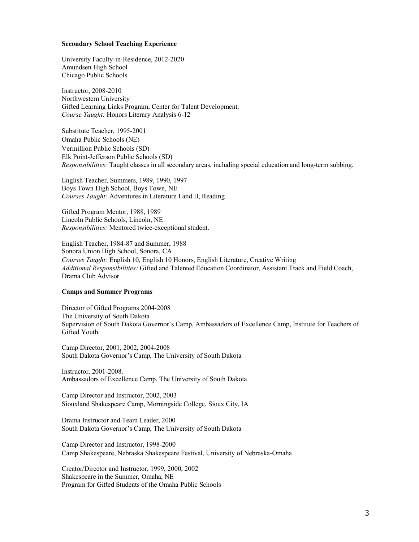#### **Secondary School Teaching Experience**

University Faculty-in-Residence, 2012-2020 Amundsen High School Chicago Public Schools

Instructor, 2008-2010 Northwestern University Gifted Learning Links Program, Center for Talent Development, *Course Taught:* Honors Literary Analysis 6-12

Substitute Teacher, 1995-2001 Omaha Public Schools (NE) Vermillion Public Schools (SD) Elk Point-Jefferson Public Schools (SD) *Responsibilities:* Taught classes in all secondary areas, including special education and long-term subbing.

English Teacher, Summers, 1989, 1990, 1997 Boys Town High School, Boys Town, NE *Courses Taught:* Adventures in Literature I and II, Reading

Gifted Program Mentor, 1988, 1989 Lincoln Public Schools, Lincoln, NE *Responsibilities:* Mentored twice-exceptional student.

English Teacher, 1984-87 and Summer, 1988 Sonora Union High School, Sonora, CA *Courses Taught:* English 10, English 10 Honors, English Literature, Creative Writing *Additional Responsibilities:* Gifted and Talented Education Coordinator, Assistant Track and Field Coach, Drama Club Advisor.

# **Camps and Summer Programs**

Director of Gifted Programs 2004-2008 The University of South Dakota Supervision of South Dakota Governor's Camp, Ambassadors of Excellence Camp, Institute for Teachers of Gifted Youth.

Camp Director, 2001, 2002, 2004-2008 South Dakota Governor's Camp, The University of South Dakota

Instructor, 2001-2008. Ambassadors of Excellence Camp, The University of South Dakota

Camp Director and Instructor, 2002, 2003 Siouxland Shakespeare Camp, Morningside College, Sioux City, IA

Drama Instructor and Team Leader, 2000 South Dakota Governor's Camp, The University of South Dakota

Camp Director and Instructor, 1998-2000 Camp Shakespeare, Nebraska Shakespeare Festival, University of Nebraska-Omaha

Creator/Director and Instructor, 1999, 2000, 2002 Shakespeare in the Summer, Omaha, NE Program for Gifted Students of the Omaha Public Schools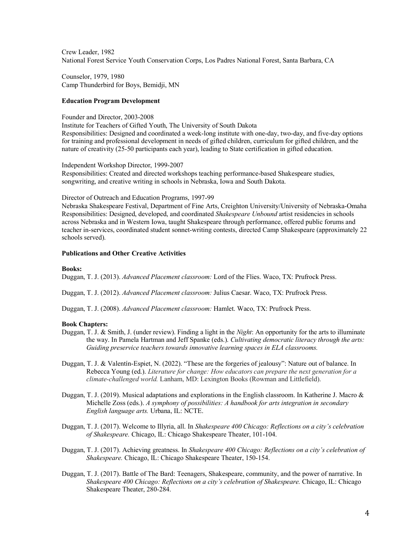Crew Leader, 1982 National Forest Service Youth Conservation Corps, Los Padres National Forest, Santa Barbara, CA

Counselor, 1979, 1980 Camp Thunderbird for Boys, Bemidji, MN

# **Education Program Development**

### Founder and Director, 2003-2008

Institute for Teachers of Gifted Youth, The University of South Dakota Responsibilities: Designed and coordinated a week-long institute with one-day, two-day, and five-day options for training and professional development in needs of gifted children, curriculum for gifted children, and the nature of creativity (25-50 participants each year), leading to State certification in gifted education.

Independent Workshop Director, 1999-2007

Responsibilities: Created and directed workshops teaching performance-based Shakespeare studies, songwriting, and creative writing in schools in Nebraska, Iowa and South Dakota.

Director of Outreach and Education Programs, 1997-99

Nebraska Shakespeare Festival, Department of Fine Arts, Creighton University/University of Nebraska-Omaha Responsibilities: Designed, developed, and coordinated *Shakespeare Unbound* artist residencies in schools across Nebraska and in Western Iowa, taught Shakespeare through performance, offered public forums and teacher in-services, coordinated student sonnet-writing contests, directed Camp Shakespeare (approximately 22 schools served).

# **Publications and Other Creative Activities**

#### **Books:**

Duggan, T. J. (2013). *Advanced Placement classroom:* Lord of the Flies. Waco, TX: Prufrock Press.

Duggan, T. J. (2012). *Advanced Placement classroom:* Julius Caesar. Waco, TX: Prufrock Press.

Duggan, T. J. (2008). *Advanced Placement classroom:* Hamlet. Waco, TX: Prufrock Press.

### **Book Chapters:**

- Duggan, T. J. & Smith, J. (under review). Finding a light in the *Night*: An opportunity for the arts to illuminate the way. In Pamela Hartman and Jeff Spanke (eds.). *Cultivating democratic literacy through the arts: Guiding preservice teachers towards innovative learning spaces in ELA classrooms.*
- Duggan, T. J. & Valentín-Espiet, N. (2022). "These are the forgeries of jealousy": Nature out of balance. In Rebecca Young (ed.). *Literature for change: How educators can prepare the next generation for a climate-challenged world.* Lanham, MD: Lexington Books (Rowman and Littlefield).
- Duggan, T. J. (2019). Musical adaptations and explorations in the English classroom. In Katherine J. Macro & Michelle Zoss (eds.). *A symphony of possibilities: A handbook for arts integration in secondary English language arts.* Urbana, IL: NCTE.
- Duggan, T. J. (2017). Welcome to Illyria, all. In *Shakespeare 400 Chicago: Reflections on a city's celebration of Shakespeare.* Chicago, IL: Chicago Shakespeare Theater, 101-104.
- Duggan, T. J. (2017). Achieving greatness. In *Shakespeare 400 Chicago: Reflections on a city's celebration of Shakespeare.* Chicago, IL: Chicago Shakespeare Theater, 150-154.
- Duggan, T. J. (2017). Battle of The Bard: Teenagers, Shakespeare, community, and the power of narrative. In *Shakespeare 400 Chicago: Reflections on a city's celebration of Shakespeare.* Chicago, IL: Chicago Shakespeare Theater, 280-284.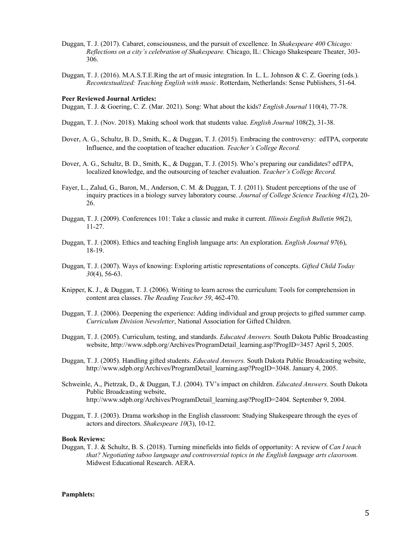- Duggan, T. J. (2017). Cabaret, consciousness, and the pursuit of excellence. In *Shakespeare 400 Chicago: Reflections on a city's celebration of Shakespeare.* Chicago, IL: Chicago Shakespeare Theater, 303- 306.
- Duggan, T. J. (2016). M.A.S.T.E.Ring the art of music integration. In L. L. Johnson & C. Z. Goering (eds.). *Recontextualized: Teaching English with music*. Rotterdam, Netherlands: Sense Publishers, 51-64.

#### **Peer Reviewed Journal Articles:**

Duggan, T. J. & Goering, C. Z. (Mar. 2021). Song: What about the kids? *English Journal* 110(4), 77-78.

- Duggan, T. J. (Nov. 2018). Making school work that students value. *English Journal* 108(2), 31-38.
- Dover, A. G., Schultz, B. D., Smith, K., & Duggan, T. J. (2015). Embracing the controversy: edTPA, corporate Influence, and the cooptation of teacher education. *Teacher's College Record.*
- Dover, A. G., Schultz, B. D., Smith, K., & Duggan, T. J. (2015). Who's preparing our candidates? edTPA, localized knowledge, and the outsourcing of teacher evaluation. *Teacher's College Record.*
- Fayer, L., Zalud, G., Baron, M., Anderson, C. M. & Duggan, T. J. (2011). Student perceptions of the use of inquiry practices in a biology survey laboratory course. *Journal of College Science Teaching 41*(2), 20- 26.
- Duggan, T. J. (2009). Conferences 101: Take a classic and make it current. *Illinois English Bulletin 96*(2), 11-27.
- Duggan, T. J. (2008). Ethics and teaching English language arts: An exploration. *English Journal 97*(6), 18-19.
- Duggan, T. J. (2007). Ways of knowing: Exploring artistic representations of concepts. *Gifted Child Today 30*(4), 56-63.
- Knipper, K. J., & Duggan, T. J. (2006). Writing to learn across the curriculum: Tools for comprehension in content area classes. *The Reading Teacher 59*, 462-470.
- Duggan, T. J. (2006). Deepening the experience: Adding individual and group projects to gifted summer camp. *Curriculum Division Newsletter*, National Association for Gifted Children.
- Duggan, T. J. (2005). Curriculum, testing, and standards. *Educated Answers.* South Dakota Public Broadcasting website, http://www.sdpb.org/Archives/ProgramDetail\_learning.asp?ProgID=3457 April 5, 2005.
- Duggan, T. J. (2005). Handling gifted students. *Educated Answers.* South Dakota Public Broadcasting website, http://www.sdpb.org/Archives/ProgramDetail\_learning.asp?ProgID=3048. January 4, 2005.
- Schweinle, A., Pietrzak, D., & Duggan, T.J. (2004). TV's impact on children. *Educated Answers.* South Dakota Public Broadcasting website, http://www.sdpb.org/Archives/ProgramDetail\_learning.asp?ProgID=2404. September 9, 2004.
- Duggan, T. J. (2003). Drama workshop in the English classroom: Studying Shakespeare through the eyes of actors and directors. *Shakespeare 10*(3), 10-12.

#### **Book Reviews:**

Duggan, T. J. & Schultz, B. S. (2018). Turning minefields into fields of opportunity: A review of *Can I teach that? Negotiating taboo language and controversial topics in the English language arts classroom.*  Midwest Educational Research. AERA.

#### **Pamphlets:**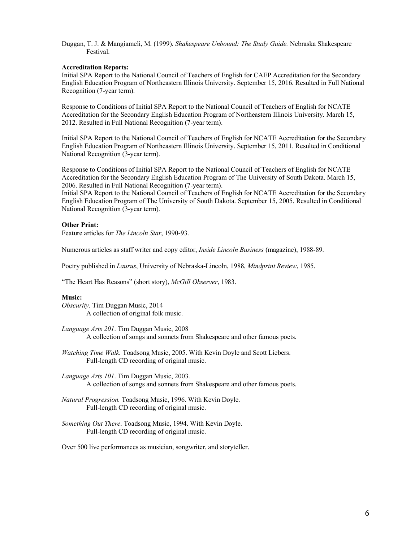Duggan, T. J. & Mangiameli, M. (1999). *Shakespeare Unbound: The Study Guide.* Nebraska Shakespeare Festival.

# **Accreditation Reports:**

Initial SPA Report to the National Council of Teachers of English for CAEP Accreditation for the Secondary English Education Program of Northeastern Illinois University. September 15, 2016. Resulted in Full National Recognition (7-year term).

Response to Conditions of Initial SPA Report to the National Council of Teachers of English for NCATE Accreditation for the Secondary English Education Program of Northeastern Illinois University. March 15, 2012. Resulted in Full National Recognition (7-year term).

Initial SPA Report to the National Council of Teachers of English for NCATE Accreditation for the Secondary English Education Program of Northeastern Illinois University. September 15, 2011. Resulted in Conditional National Recognition (3-year term).

Response to Conditions of Initial SPA Report to the National Council of Teachers of English for NCATE Accreditation for the Secondary English Education Program of The University of South Dakota. March 15, 2006. Resulted in Full National Recognition (7-year term).

Initial SPA Report to the National Council of Teachers of English for NCATE Accreditation for the Secondary English Education Program of The University of South Dakota. September 15, 2005. Resulted in Conditional National Recognition (3-year term).

# **Other Print:**

Feature articles for *The Lincoln Star*, 1990-93.

Numerous articles as staff writer and copy editor, *Inside Lincoln Business* (magazine), 1988-89.

Poetry published in *Laurus*, University of Nebraska-Lincoln, 1988, *Mindprint Review*, 1985.

"The Heart Has Reasons" (short story), *McGill Observer*, 1983.

# **Music:**

*Obscurity*. Tim Duggan Music, 2014 A collection of original folk music.

- *Language Arts 201*. Tim Duggan Music, 2008 A collection of songs and sonnets from Shakespeare and other famous poets.
- *Watching Time Walk.* Toadsong Music, 2005. With Kevin Doyle and Scott Liebers. Full-length CD recording of original music.
- *Language Arts 101*. Tim Duggan Music, 2003. A collection of songs and sonnets from Shakespeare and other famous poets.
- *Natural Progression.* Toadsong Music, 1996. With Kevin Doyle. Full-length CD recording of original music.
- *Something Out There*. Toadsong Music, 1994. With Kevin Doyle. Full-length CD recording of original music.

Over 500 live performances as musician, songwriter, and storyteller.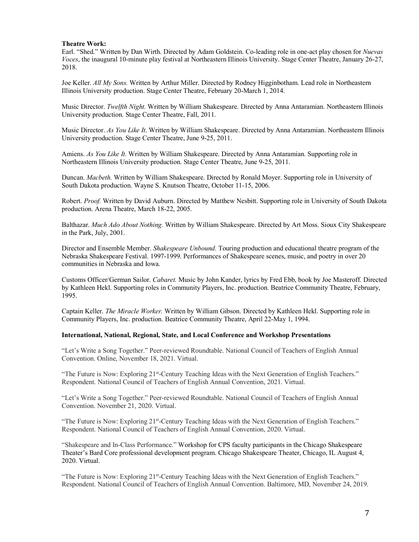## **Theatre Work:**

Earl. "Shed." Written by Dan Wirth. Directed by Adam Goldstein. Co-leading role in one-act play chosen for *Nuevas Voces*, the inaugural 10-minute play festival at Northeastern Illinois University. Stage Center Theatre, January 26-27, 2018.

Joe Keller. *All My Sons.* Written by Arthur Miller. Directed by Rodney Higginbotham. Lead role in Northeastern Illinois University production. Stage Center Theatre, February 20-March 1, 2014.

Music Director. *Twelfth Night.* Written by William Shakespeare. Directed by Anna Antaramian. Northeastern Illinois University production. Stage Center Theatre, Fall, 2011.

Music Director. *As You Like It*. Written by William Shakespeare. Directed by Anna Antaramian. Northeastern Illinois University production. Stage Center Theatre, June 9-25, 2011.

Amiens. *As You Like It.* Written by William Shakespeare. Directed by Anna Antaramian. Supporting role in Northeastern Illinois University production. Stage Center Theatre, June 9-25, 2011.

Duncan. *Macbeth.* Written by William Shakespeare. Directed by Ronald Moyer. Supporting role in University of South Dakota production. Wayne S. Knutson Theatre, October 11-15, 2006.

Robert. *Proof.* Written by David Auburn. Directed by Matthew Nesbitt. Supporting role in University of South Dakota production. Arena Theatre, March 18-22, 2005.

Balthazar. *Much Ado About Nothing.* Written by William Shakespeare. Directed by Art Moss. Sioux City Shakespeare in the Park, July, 2001.

Director and Ensemble Member. *Shakespeare Unbound.* Touring production and educational theatre program of the Nebraska Shakespeare Festival. 1997-1999. Performances of Shakespeare scenes, music, and poetry in over 20 communities in Nebraska and Iowa.

Customs Officer/German Sailor. *Cabaret.* Music by John Kander, lyrics by Fred Ebb, book by Joe Masteroff. Directed by Kathleen Hekl. Supporting roles in Community Players, Inc. production. Beatrice Community Theatre, February, 1995.

Captain Keller. *The Miracle Worker.* Written by William Gibson. Directed by Kathleen Hekl. Supporting role in Community Players, Inc. production. Beatrice Community Theatre, April 22-May 1, 1994.

### **International, National, Regional, State, and Local Conference and Workshop Presentations**

"Let's Write a Song Together." Peer-reviewed Roundtable. National Council of Teachers of English Annual Convention. Online, November 18, 2021. Virtual.

"The Future is Now: Exploring 21st-Century Teaching Ideas with the Next Generation of English Teachers." Respondent. National Council of Teachers of English Annual Convention, 2021. Virtual.

"Let's Write a Song Together." Peer-reviewed Roundtable. National Council of Teachers of English Annual Convention. November 21, 2020. Virtual.

"The Future is Now: Exploring 21st-Century Teaching Ideas with the Next Generation of English Teachers." Respondent. National Council of Teachers of English Annual Convention, 2020. Virtual.

"Shakespeare and In-Class Performance." Workshop for CPS faculty participants in the Chicago Shakespeare Theater's Bard Core professional development program. Chicago Shakespeare Theater, Chicago, IL August 4, 2020. Virtual.

"The Future is Now: Exploring 21st-Century Teaching Ideas with the Next Generation of English Teachers." Respondent. National Council of Teachers of English Annual Convention. Baltimore, MD, November 24, 2019.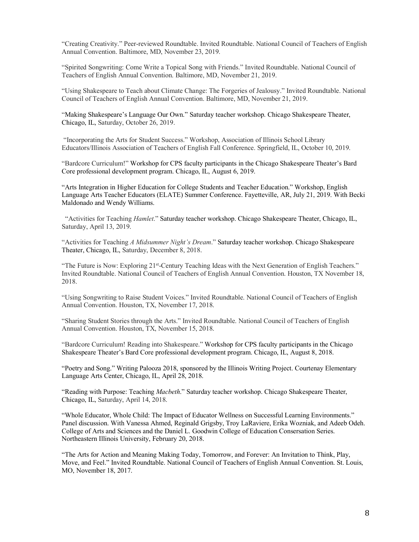"Creating Creativity." Peer-reviewed Roundtable. Invited Roundtable. National Council of Teachers of English Annual Convention. Baltimore, MD, November 23, 2019.

"Spirited Songwriting: Come Write a Topical Song with Friends." Invited Roundtable. National Council of Teachers of English Annual Convention. Baltimore, MD, November 21, 2019.

"Using Shakespeare to Teach about Climate Change: The Forgeries of Jealousy." Invited Roundtable. National Council of Teachers of English Annual Convention. Baltimore, MD, November 21, 2019.

"Making Shakespeare's Language Our Own." Saturday teacher workshop. Chicago Shakespeare Theater, Chicago, IL, Saturday, October 26, 2019.

"Incorporating the Arts for Student Success." Workshop, Association of Illinois School Library Educators/Illinois Association of Teachers of English Fall Conference. Springfield, IL, October 10, 2019.

"Bardcore Curriculum!" Workshop for CPS faculty participants in the Chicago Shakespeare Theater's Bard Core professional development program. Chicago, IL, August 6, 2019.

"Arts Integration in Higher Education for College Students and Teacher Education." Workshop, English Language Arts Teacher Educators (ELATE) Summer Conference. Fayetteville, AR, July 21, 2019. With Becki Maldonado and Wendy Williams.

"Activities for Teaching *Hamlet*." Saturday teacher workshop. Chicago Shakespeare Theater, Chicago, IL, Saturday, April 13, 2019.

"Activities for Teaching *A Midsummer Night's Dream*." Saturday teacher workshop. Chicago Shakespeare Theater, Chicago, IL, Saturday, December 8, 2018.

"The Future is Now: Exploring 21st-Century Teaching Ideas with the Next Generation of English Teachers." Invited Roundtable. National Council of Teachers of English Annual Convention. Houston, TX November 18, 2018.

"Using Songwriting to Raise Student Voices." Invited Roundtable. National Council of Teachers of English Annual Convention. Houston, TX, November 17, 2018.

"Sharing Student Stories through the Arts." Invited Roundtable. National Council of Teachers of English Annual Convention. Houston, TX, November 15, 2018.

"Bardcore Curriculum! Reading into Shakespeare." Workshop for CPS faculty participants in the Chicago Shakespeare Theater's Bard Core professional development program. Chicago, IL, August 8, 2018.

"Poetry and Song." Writing Palooza 2018, sponsored by the Illinois Writing Project. Courtenay Elementary Language Arts Center, Chicago, IL, April 28, 2018.

"Reading with Purpose: Teaching *Macbeth*." Saturday teacher workshop. Chicago Shakespeare Theater, Chicago, IL, Saturday, April 14, 2018.

"Whole Educator, Whole Child: The Impact of Educator Wellness on Successful Learning Environments." Panel discussion. With Vanessa Ahmed, Reginald Grigsby, Troy LaRaviere, Erika Wozniak, and Adeeb Odeh. College of Arts and Sciences and the Daniel L. Goodwin College of Education Consersation Series. Northeastern Illinois University, February 20, 2018.

"The Arts for Action and Meaning Making Today, Tomorrow, and Forever: An Invitation to Think, Play, Move, and Feel." Invited Roundtable. National Council of Teachers of English Annual Convention. St. Louis, MO, November 18, 2017.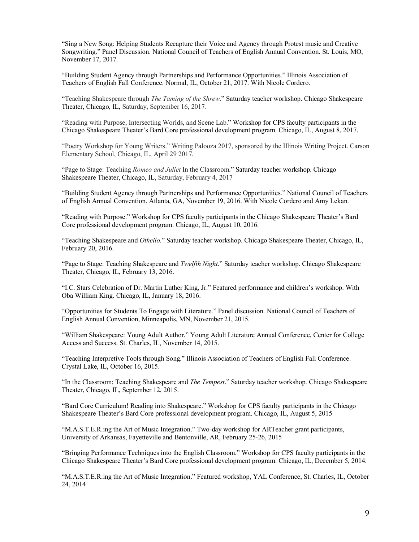"Sing a New Song: Helping Students Recapture their Voice and Agency through Protest music and Creative Songwriting." Panel Discussion. National Council of Teachers of English Annual Convention. St. Louis, MO, November 17, 2017.

"Building Student Agency through Partnerships and Performance Opportunities." Illinois Association of Teachers of English Fall Conference. Normal, IL, October 21, 2017. With Nicole Cordero.

"Teaching Shakespeare through *The Taming of the Shrew*." Saturday teacher workshop. Chicago Shakespeare Theater, Chicago, IL, Saturday, September 16, 2017.

"Reading with Purpose, Intersecting Worlds, and Scene Lab." Workshop for CPS faculty participants in the Chicago Shakespeare Theater's Bard Core professional development program. Chicago, IL, August 8, 2017.

"Poetry Workshop for Young Writers." Writing Palooza 2017, sponsored by the Illinois Writing Project. Carson Elementary School, Chicago, IL, April 29 2017.

"Page to Stage: Teaching *Romeo and Juliet* In the Classroom." Saturday teacher workshop. Chicago Shakespeare Theater, Chicago, IL, Saturday, February 4, 2017

"Building Student Agency through Partnerships and Performance Opportunities." National Council of Teachers of English Annual Convention. Atlanta, GA, November 19, 2016. With Nicole Cordero and Amy Lekan.

"Reading with Purpose." Workshop for CPS faculty participants in the Chicago Shakespeare Theater's Bard Core professional development program. Chicago, IL, August 10, 2016.

"Teaching Shakespeare and *Othello*." Saturday teacher workshop. Chicago Shakespeare Theater, Chicago, IL, February 20, 2016.

"Page to Stage: Teaching Shakespeare and *Twelfth Night*." Saturday teacher workshop. Chicago Shakespeare Theater, Chicago, IL, February 13, 2016.

"I.C. Stars Celebration of Dr. Martin Luther King, Jr." Featured performance and children's workshop. With Oba William King. Chicago, IL, January 18, 2016.

"Opportunities for Students To Engage with Literature." Panel discussion. National Council of Teachers of English Annual Convention, Minneapolis, MN, November 21, 2015.

"William Shakespeare: Young Adult Author." Young Adult Literature Annual Conference, Center for College Access and Success. St. Charles, IL, November 14, 2015.

"Teaching Interpretive Tools through Song." Illinois Association of Teachers of English Fall Conference. Crystal Lake, IL, October 16, 2015.

"In the Classroom: Teaching Shakespeare and *The Tempest*." Saturday teacher workshop. Chicago Shakespeare Theater, Chicago, IL, September 12, 2015.

"Bard Core Curriculum! Reading into Shakespeare." Workshop for CPS faculty participants in the Chicago Shakespeare Theater's Bard Core professional development program. Chicago, IL, August 5, 2015

"M.A.S.T.E.R.ing the Art of Music Integration." Two-day workshop for ARTeacher grant participants, University of Arkansas, Fayetteville and Bentonville, AR, February 25-26, 2015

"Bringing Performance Techniques into the English Classroom." Workshop for CPS faculty participants in the Chicago Shakespeare Theater's Bard Core professional development program. Chicago, IL, December 5, 2014.

"M.A.S.T.E.R.ing the Art of Music Integration." Featured workshop, YAL Conference, St. Charles, IL, October 24, 2014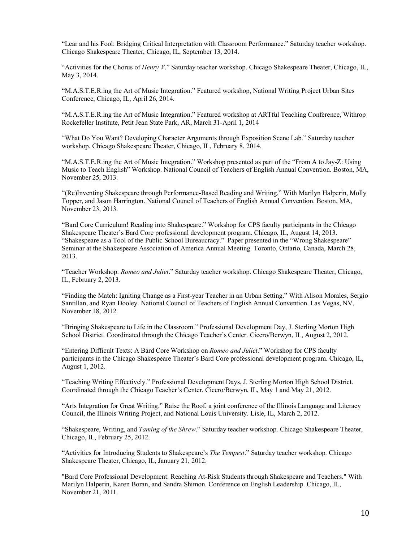"Lear and his Fool: Bridging Critical Interpretation with Classroom Performance." Saturday teacher workshop. Chicago Shakespeare Theater, Chicago, IL, September 13, 2014.

"Activities for the Chorus of *Henry V*." Saturday teacher workshop. Chicago Shakespeare Theater, Chicago, IL, May 3, 2014.

"M.A.S.T.E.R.ing the Art of Music Integration." Featured workshop, National Writing Project Urban Sites Conference, Chicago, IL, April 26, 2014.

"M.A.S.T.E.R.ing the Art of Music Integration." Featured workshop at ARTful Teaching Conference, Withrop Rockefeller Institute, Petit Jean State Park, AR, March 31-April 1, 2014

"What Do You Want? Developing Character Arguments through Exposition Scene Lab." Saturday teacher workshop. Chicago Shakespeare Theater, Chicago, IL, February 8, 2014.

"M.A.S.T.E.R.ing the Art of Music Integration." Workshop presented as part of the "From A to Jay-Z: Using Music to Teach English" Workshop. National Council of Teachers of English Annual Convention. Boston, MA, November 25, 2013.

"(Re)Inventing Shakespeare through Performance-Based Reading and Writing." With Marilyn Halperin, Molly Topper, and Jason Harrington. National Council of Teachers of English Annual Convention. Boston, MA, November 23, 2013.

"Bard Core Curriculum! Reading into Shakespeare." Workshop for CPS faculty participants in the Chicago Shakespeare Theater's Bard Core professional development program. Chicago, IL, August 14, 2013. "Shakespeare as a Tool of the Public School Bureaucracy." Paper presented in the "Wrong Shakespeare" Seminar at the Shakespeare Association of America Annual Meeting. Toronto, Ontario, Canada, March 28, 2013.

"Teacher Workshop: *Romeo and Juliet*." Saturday teacher workshop. Chicago Shakespeare Theater, Chicago, IL, February 2, 2013.

"Finding the Match: Igniting Change as a First-year Teacher in an Urban Setting." With Alison Morales, Sergio Santillan, and Ryan Dooley. National Council of Teachers of English Annual Convention. Las Vegas, NV, November 18, 2012.

"Bringing Shakespeare to Life in the Classroom." Professional Development Day, J. Sterling Morton High School District. Coordinated through the Chicago Teacher's Center. Cicero/Berwyn, IL, August 2, 2012.

"Entering Difficult Texts: A Bard Core Workshop on *Romeo and Juliet*." Workshop for CPS faculty participants in the Chicago Shakespeare Theater's Bard Core professional development program. Chicago, IL, August 1, 2012.

"Teaching Writing Effectively." Professional Development Days, J. Sterling Morton High School District. Coordinated through the Chicago Teacher's Center. Cicero/Berwyn, IL, May 1 and May 21, 2012.

"Arts Integration for Great Writing." Raise the Roof, a joint conference of the Illinois Language and Literacy Council, the Illinois Writing Project, and National Louis University. Lisle, IL, March 2, 2012.

"Shakespeare, Writing, and *Taming of the Shrew*." Saturday teacher workshop. Chicago Shakespeare Theater, Chicago, IL, February 25, 2012.

"Activities for Introducing Students to Shakespeare's *The Tempest*." Saturday teacher workshop. Chicago Shakespeare Theater, Chicago, IL, January 21, 2012.

"Bard Core Professional Development: Reaching At-Risk Students through Shakespeare and Teachers." With Marilyn Halperin, Karen Boran, and Sandra Shimon. Conference on English Leadership. Chicago, IL, November 21, 2011.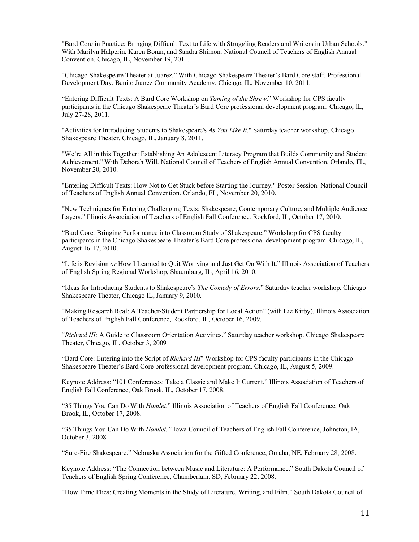"Bard Core in Practice: Bringing Difficult Text to Life with Struggling Readers and Writers in Urban Schools." With Marilyn Halperin, Karen Boran, and Sandra Shimon. National Council of Teachers of English Annual Convention. Chicago, IL, November 19, 2011.

"Chicago Shakespeare Theater at Juarez." With Chicago Shakespeare Theater's Bard Core staff. Professional Development Day. Benito Juarez Community Academy, Chicago, IL, November 10, 2011.

"Entering Difficult Texts: A Bard Core Workshop on *Taming of the Shrew*." Workshop for CPS faculty participants in the Chicago Shakespeare Theater's Bard Core professional development program. Chicago, IL, July 27-28, 2011.

"Activities for Introducing Students to Shakespeare's *As You Like It*." Saturday teacher workshop. Chicago Shakespeare Theater, Chicago, IL, January 8, 2011.

"We're All in this Together: Establishing An Adolescent Literacy Program that Builds Community and Student Achievement." With Deborah Will. National Council of Teachers of English Annual Convention. Orlando, FL, November 20, 2010.

"Entering Difficult Texts: How Not to Get Stuck before Starting the Journey." Poster Session. National Council of Teachers of English Annual Convention. Orlando, FL, November 20, 2010.

"New Techniques for Entering Challenging Texts: Shakespeare, Contemporary Culture, and Multiple Audience Layers." Illinois Association of Teachers of English Fall Conference. Rockford, IL, October 17, 2010.

"Bard Core: Bringing Performance into Classroom Study of Shakespeare." Workshop for CPS faculty participants in the Chicago Shakespeare Theater's Bard Core professional development program. Chicago, IL, August 16-17, 2010.

"Life is Revision *or* How I Learned to Quit Worrying and Just Get On With It." Illinois Association of Teachers of English Spring Regional Workshop, Shaumburg, IL, April 16, 2010.

"Ideas for Introducing Students to Shakespeare's *The Comedy of Errors*." Saturday teacher workshop. Chicago Shakespeare Theater, Chicago IL, January 9, 2010.

"Making Research Real: A Teacher-Student Partnership for Local Action" (with Liz Kirby). Illinois Association of Teachers of English Fall Conference, Rockford, IL, October 16, 2009.

"*Richard III*: A Guide to Classroom Orientation Activities." Saturday teacher workshop. Chicago Shakespeare Theater, Chicago, IL, October 3, 2009

"Bard Core: Entering into the Script of *Richard III*" Workshop for CPS faculty participants in the Chicago Shakespeare Theater's Bard Core professional development program. Chicago, IL, August 5, 2009.

Keynote Address: "101 Conferences: Take a Classic and Make It Current." Illinois Association of Teachers of English Fall Conference, Oak Brook, IL, October 17, 2008.

"35 Things You Can Do With *Hamlet*." Illinois Association of Teachers of English Fall Conference, Oak Brook, IL, October 17, 2008.

"35 Things You Can Do With *Hamlet."* Iowa Council of Teachers of English Fall Conference, Johnston, IA, October 3, 2008.

"Sure-Fire Shakespeare." Nebraska Association for the Gifted Conference, Omaha, NE, February 28, 2008.

Keynote Address: "The Connection between Music and Literature: A Performance." South Dakota Council of Teachers of English Spring Conference, Chamberlain, SD, February 22, 2008.

"How Time Flies: Creating Moments in the Study of Literature, Writing, and Film." South Dakota Council of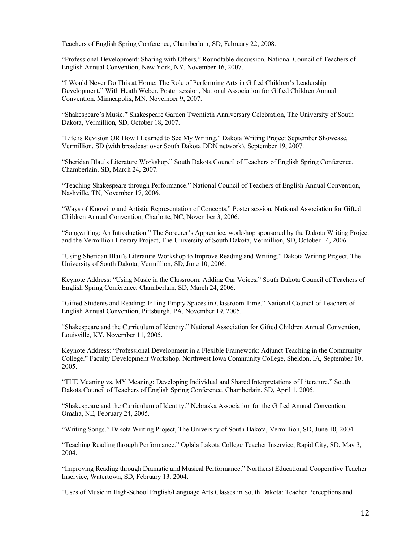Teachers of English Spring Conference, Chamberlain, SD, February 22, 2008.

"Professional Development: Sharing with Others." Roundtable discussion. National Council of Teachers of English Annual Convention, New York, NY, November 16, 2007.

"I Would Never Do This at Home: The Role of Performing Arts in Gifted Children's Leadership Development." With Heath Weber. Poster session, National Association for Gifted Children Annual Convention, Minneapolis, MN, November 9, 2007.

"Shakespeare's Music." Shakespeare Garden Twentieth Anniversary Celebration, The University of South Dakota, Vermillion, SD, October 18, 2007.

"Life is Revision OR How I Learned to See My Writing." Dakota Writing Project September Showcase, Vermillion, SD (with broadcast over South Dakota DDN network), September 19, 2007.

"Sheridan Blau's Literature Workshop." South Dakota Council of Teachers of English Spring Conference, Chamberlain, SD, March 24, 2007.

"Teaching Shakespeare through Performance." National Council of Teachers of English Annual Convention, Nashville, TN, November 17, 2006.

"Ways of Knowing and Artistic Representation of Concepts." Poster session, National Association for Gifted Children Annual Convention, Charlotte, NC, November 3, 2006.

"Songwriting: An Introduction." The Sorcerer's Apprentice, workshop sponsored by the Dakota Writing Project and the Vermillion Literary Project, The University of South Dakota, Vermillion, SD, October 14, 2006.

"Using Sheridan Blau's Literature Workshop to Improve Reading and Writing." Dakota Writing Project, The University of South Dakota, Vermillion, SD, June 10, 2006.

Keynote Address: "Using Music in the Classroom: Adding Our Voices." South Dakota Council of Teachers of English Spring Conference, Chamberlain, SD, March 24, 2006.

"Gifted Students and Reading: Filling Empty Spaces in Classroom Time." National Council of Teachers of English Annual Convention, Pittsburgh, PA, November 19, 2005.

"Shakespeare and the Curriculum of Identity." National Association for Gifted Children Annual Convention, Louisville, KY, November 11, 2005.

Keynote Address: "Professional Development in a Flexible Framework: Adjunct Teaching in the Community College." Faculty Development Workshop. Northwest Iowa Community College, Sheldon, IA, September 10, 2005.

"THE Meaning vs. MY Meaning: Developing Individual and Shared Interpretations of Literature." South Dakota Council of Teachers of English Spring Conference, Chamberlain, SD, April 1, 2005.

"Shakespeare and the Curriculum of Identity." Nebraska Association for the Gifted Annual Convention. Omaha, NE, February 24, 2005.

"Writing Songs." Dakota Writing Project, The University of South Dakota, Vermillion, SD, June 10, 2004.

"Teaching Reading through Performance." Oglala Lakota College Teacher Inservice, Rapid City, SD, May 3, 2004.

"Improving Reading through Dramatic and Musical Performance." Northeast Educational Cooperative Teacher Inservice, Watertown, SD, February 13, 2004.

"Uses of Music in High-School English/Language Arts Classes in South Dakota: Teacher Perceptions and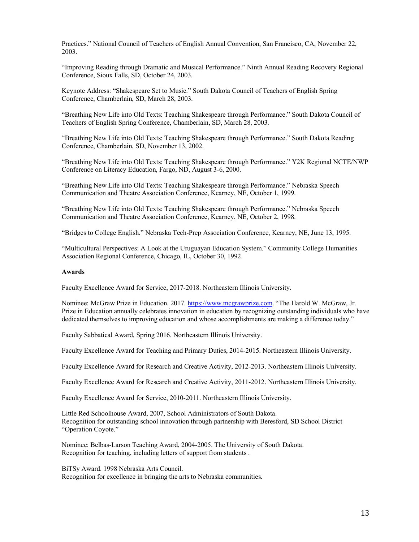Practices." National Council of Teachers of English Annual Convention, San Francisco, CA, November 22, 2003.

"Improving Reading through Dramatic and Musical Performance." Ninth Annual Reading Recovery Regional Conference, Sioux Falls, SD, October 24, 2003.

Keynote Address: "Shakespeare Set to Music." South Dakota Council of Teachers of English Spring Conference, Chamberlain, SD, March 28, 2003.

"Breathing New Life into Old Texts: Teaching Shakespeare through Performance." South Dakota Council of Teachers of English Spring Conference, Chamberlain, SD, March 28, 2003.

"Breathing New Life into Old Texts: Teaching Shakespeare through Performance." South Dakota Reading Conference, Chamberlain, SD, November 13, 2002.

"Breathing New Life into Old Texts: Teaching Shakespeare through Performance." Y2K Regional NCTE/NWP Conference on Literacy Education, Fargo, ND, August 3-6, 2000.

"Breathing New Life into Old Texts: Teaching Shakespeare through Performance." Nebraska Speech Communication and Theatre Association Conference, Kearney, NE, October 1, 1999.

"Breathing New Life into Old Texts: Teaching Shakespeare through Performance." Nebraska Speech Communication and Theatre Association Conference, Kearney, NE, October 2, 1998.

"Bridges to College English." Nebraska Tech-Prep Association Conference, Kearney, NE, June 13, 1995.

"Multicultural Perspectives: A Look at the Uruguayan Education System." Community College Humanities Association Regional Conference, Chicago, IL, October 30, 1992.

#### **Awards**

Faculty Excellence Award for Service, 2017-2018. Northeastern Illinois University.

Nominee: McGraw Prize in Education. 2017. https://www.mcgrawprize.com. "The Harold W. McGraw, Jr. Prize in Education annually celebrates innovation in education by recognizing outstanding individuals who have dedicated themselves to improving education and whose accomplishments are making a difference today."

Faculty Sabbatical Award, Spring 2016. Northeastern Illinois University.

Faculty Excellence Award for Teaching and Primary Duties, 2014-2015. Northeastern Illinois University.

Faculty Excellence Award for Research and Creative Activity, 2012-2013. Northeastern Illinois University.

Faculty Excellence Award for Research and Creative Activity, 2011-2012. Northeastern Illinois University.

Faculty Excellence Award for Service, 2010-2011. Northeastern Illinois University.

Little Red Schoolhouse Award, 2007, School Administrators of South Dakota. Recognition for outstanding school innovation through partnership with Beresford, SD School District "Operation Coyote."

Nominee: Belbas-Larson Teaching Award, 2004-2005. The University of South Dakota. Recognition for teaching, including letters of support from students .

BiTSy Award. 1998 Nebraska Arts Council. Recognition for excellence in bringing the arts to Nebraska communities.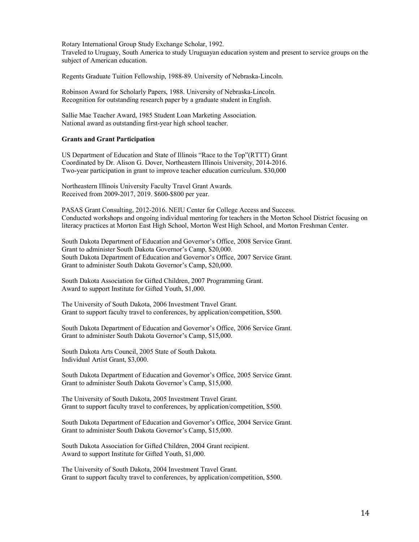Rotary International Group Study Exchange Scholar, 1992. Traveled to Uruguay, South America to study Uruguayan education system and present to service groups on the subject of American education.

Regents Graduate Tuition Fellowship, 1988-89. University of Nebraska-Lincoln.

Robinson Award for Scholarly Papers, 1988. University of Nebraska-Lincoln. Recognition for outstanding research paper by a graduate student in English.

Sallie Mae Teacher Award, 1985 Student Loan Marketing Association. National award as outstanding first-year high school teacher.

# **Grants and Grant Participation**

US Department of Education and State of Illinois "Race to the Top"(RTTT) Grant Coordinated by Dr. Alison G. Dover, Northeastern Illinois University, 2014-2016. Two-year participation in grant to improve teacher education curriculum. \$30,000

Northeastern Illinois University Faculty Travel Grant Awards. Received from 2009-2017, 2019. \$600-\$800 per year.

PASAS Grant Consulting, 2012-2016. NEIU Center for College Access and Success. Conducted workshops and ongoing individual mentoring for teachers in the Morton School District focusing on literacy practices at Morton East High School, Morton West High School, and Morton Freshman Center.

South Dakota Department of Education and Governor's Office, 2008 Service Grant. Grant to administer South Dakota Governor's Camp, \$20,000. South Dakota Department of Education and Governor's Office, 2007 Service Grant. Grant to administer South Dakota Governor's Camp, \$20,000.

South Dakota Association for Gifted Children, 2007 Programming Grant. Award to support Institute for Gifted Youth, \$1,000.

The University of South Dakota, 2006 Investment Travel Grant. Grant to support faculty travel to conferences, by application/competition, \$500.

South Dakota Department of Education and Governor's Office, 2006 Service Grant. Grant to administer South Dakota Governor's Camp, \$15,000.

South Dakota Arts Council, 2005 State of South Dakota. Individual Artist Grant, \$3,000.

South Dakota Department of Education and Governor's Office, 2005 Service Grant. Grant to administer South Dakota Governor's Camp, \$15,000.

The University of South Dakota, 2005 Investment Travel Grant. Grant to support faculty travel to conferences, by application/competition, \$500.

South Dakota Department of Education and Governor's Office, 2004 Service Grant. Grant to administer South Dakota Governor's Camp, \$15,000.

South Dakota Association for Gifted Children, 2004 Grant recipient. Award to support Institute for Gifted Youth, \$1,000.

The University of South Dakota, 2004 Investment Travel Grant. Grant to support faculty travel to conferences, by application/competition, \$500.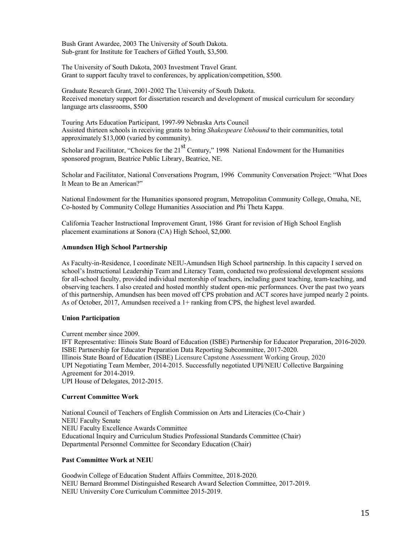Bush Grant Awardee, 2003 The University of South Dakota. Sub-grant for Institute for Teachers of Gifted Youth, \$3,500.

The University of South Dakota, 2003 Investment Travel Grant. Grant to support faculty travel to conferences, by application/competition, \$500.

Graduate Research Grant, 2001-2002 The University of South Dakota. Received monetary support for dissertation research and development of musical curriculum for secondary language arts classrooms, \$500

Touring Arts Education Participant, 1997-99 Nebraska Arts Council Assisted thirteen schools in receiving grants to bring *Shakespeare Unbound* to their communities, total approximately \$13,000 (varied by community).

Scholar and Facilitator, "Choices for the 21<sup>st</sup> Century," 1998 National Endowment for the Humanities sponsored program, Beatrice Public Library, Beatrice, NE.

Scholar and Facilitator, National Conversations Program, 1996 Community Conversation Project: "What Does It Mean to Be an American?"

National Endowment for the Humanities sponsored program, Metropolitan Community College, Omaha, NE, Co-hosted by Community College Humanities Association and Phi Theta Kappa.

California Teacher Instructional Improvement Grant, 1986 Grant for revision of High School English placement examinations at Sonora (CA) High School, \$2,000.

# **Amundsen High School Partnership**

As Faculty-in-Residence, I coordinate NEIU-Amundsen High School partnership. In this capacity I served on school's Instructional Leadership Team and Literacy Team, conducted two professional development sessions for all-school faculty, provided individual mentorship of teachers, including guest teaching, team-teaching, and observing teachers. I also created and hosted monthly student open-mic performances. Over the past two years of this partnership, Amundsen has been moved off CPS probation and ACT scores have jumped nearly 2 points. As of October, 2017, Amundsen received a  $1+$  ranking from CPS, the highest level awarded.

### **Union Participation**

Current member since 2009.

IFT Representative: Illinois State Board of Education (ISBE) Partnership for Educator Preparation, 2016-2020. ISBE Partnership for Educator Preparation Data Reporting Subcommittee, 2017-2020. Illinois State Board of Education (ISBE) Licensure Capstone Assessment Working Group, 2020 UPI Negotiating Team Member, 2014-2015. Successfully negotiated UPI/NEIU Collective Bargaining Agreement for 2014-2019. UPI House of Delegates, 2012-2015.

# **Current Committee Work**

National Council of Teachers of English Commission on Arts and Literacies (Co-Chair ) NEIU Faculty Senate NEIU Faculty Excellence Awards Committee Educational Inquiry and Curriculum Studies Professional Standards Committee (Chair) Departmental Personnel Committee for Secondary Education (Chair)

# **Past Committee Work at NEIU**

Goodwin College of Education Student Affairs Committee, 2018-2020. NEIU Bernard Brommel Distinguished Research Award Selection Committee, 2017-2019. NEIU University Core Curriculum Committee 2015-2019.